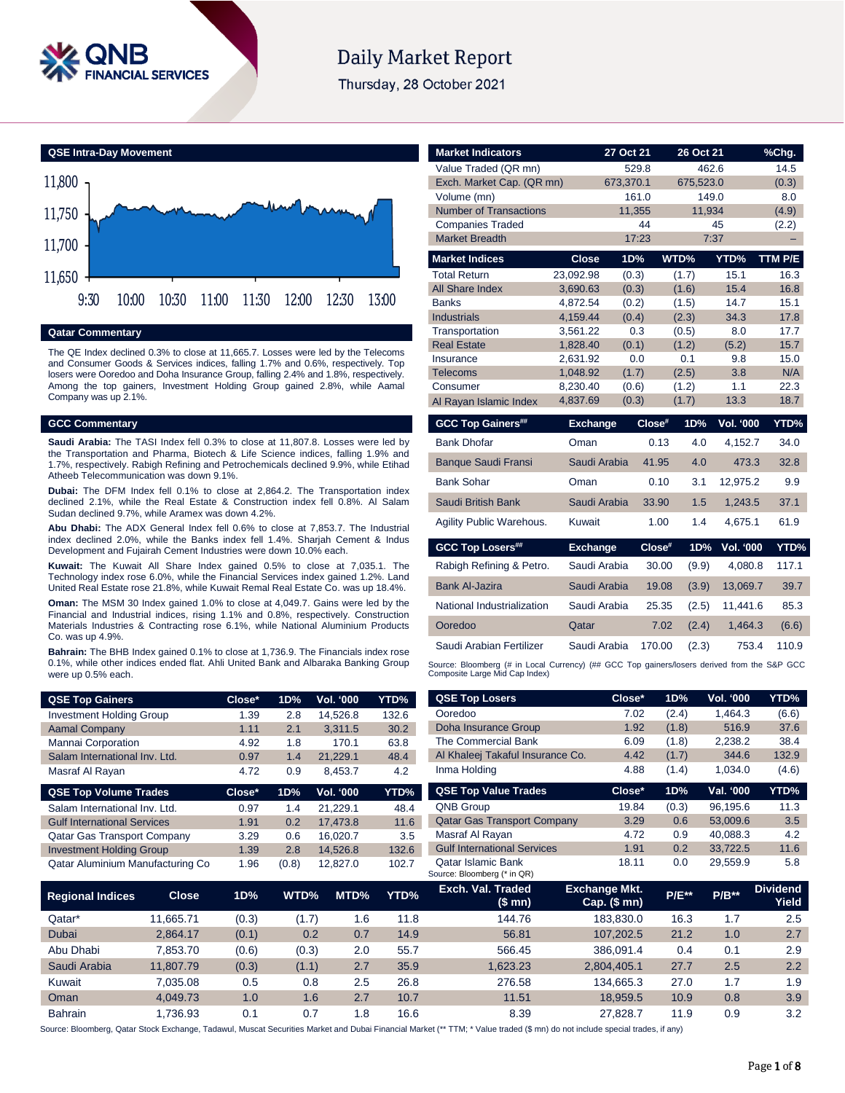

# **Daily Market Report**

Thursday, 28 October 2021



#### **Qatar Commentary**

The QE Index declined 0.3% to close at 11,665.7. Losses were led by the Telecoms and Consumer Goods & Services indices, falling 1.7% and 0.6%, respectively. Top losers were Ooredoo and Doha Insurance Group, falling 2.4% and 1.8%, respectively. Among the top gainers, Investment Holding Group gained 2.8%, while Aamal Company was up 2.1%.

#### **GCC Commentary**

**Saudi Arabia:** The TASI Index fell 0.3% to close at 11,807.8. Losses were led by the Transportation and Pharma, Biotech & Life Science indices, falling 1.9% and 1.7%, respectively. Rabigh Refining and Petrochemicals declined 9.9%, while Etihad Atheeb Telecommunication was down 9.1%.

**Dubai:** The DFM Index fell 0.1% to close at 2,864.2. The Transportation index declined 2.1%, while the Real Estate & Construction index fell 0.8%. Al Salam Sudan declined 9.7%, while Aramex was down 4.2%.

**Abu Dhabi:** The ADX General Index fell 0.6% to close at 7,853.7. The Industrial index declined 2.0%, while the Banks index fell 1.4%. Sharjah Cement & Indus Development and Fujairah Cement Industries were down 10.0% each.

**Kuwait:** The Kuwait All Share Index gained 0.5% to close at 7,035.1. The Technology index rose 6.0%, while the Financial Services index gained 1.2%. Land United Real Estate rose 21.8%, while Kuwait Remal Real Estate Co. was up 18.4%.

**Oman:** The MSM 30 Index gained 1.0% to close at 4,049.7. Gains were led by the Financial and Industrial indices, rising 1.1% and 0.8%, respectively. Construction Materials Industries & Contracting rose 6.1%, while National Aluminium Products Co. was up 4.9%.

**Bahrain:** The BHB Index gained 0.1% to close at 1,736.9. The Financials index rose 0.1%, while other indices ended flat. Ahli United Bank and Albaraka Banking Group were up 0.5% each.

| <b>QSE Top Gainers</b>             | Close* | 1D% | Vol. '000        | YTD%  |
|------------------------------------|--------|-----|------------------|-------|
| <b>Investment Holding Group</b>    | 1.39   | 2.8 | 14.526.8         | 132.6 |
| <b>Aamal Company</b>               | 1.11   | 2.1 | 3,311.5          | 30.2  |
| Mannai Corporation                 | 4.92   | 1.8 | 170.1            | 63.8  |
| Salam International Inv. Ltd.      | 0.97   | 1.4 | 21.229.1         | 48.4  |
| Masraf Al Rayan                    | 4.72   | 0.9 | 8,453.7          | 4.2   |
| <b>QSE Top Volume Trades</b>       | Close* | 1D% | <b>Vol. '000</b> | YTD%  |
| Salam International Inv. Ltd.      | 0.97   | 1.4 | 21,229.1         | 48.4  |
| <b>Gulf International Services</b> | 1.91   | 0.2 | 17.473.8         | 11.6  |
| <b>Qatar Gas Transport Company</b> | 3.29   | 0.6 | 16.020.7         | 3.5   |
| <b>Investment Holding Group</b>    | 1.39   | 2.8 | 14.526.8         | 132.6 |

| <b>Market Indicators</b>                                                                                                      |                      | 27 Oct 21    |        | 26 Oct 21      |                  | %Chg.        |
|-------------------------------------------------------------------------------------------------------------------------------|----------------------|--------------|--------|----------------|------------------|--------------|
| Value Traded (QR mn)                                                                                                          |                      | 529.8        |        | 462.6          |                  | 14.5         |
| Exch. Market Cap. (QR mn)                                                                                                     |                      | 673,370.1    |        | 675,523.0      |                  | (0.3)        |
| Volume (mn)                                                                                                                   |                      | 161.0        |        | 149.0          |                  | 8.0          |
| <b>Number of Transactions</b>                                                                                                 |                      | 11,355       |        | 11,934         |                  | (4.9)        |
| <b>Companies Traded</b>                                                                                                       |                      |              | 44     |                | 45               | (2.2)        |
| <b>Market Breadth</b>                                                                                                         |                      | 17:23        |        | 7:37           |                  |              |
| <b>Market Indices</b>                                                                                                         | <b>Close</b>         | 1D%          |        | WTD%           | YTD%             | TTM P/E      |
| <b>Total Return</b>                                                                                                           | 23,092.98            | (0.3)        |        | (1.7)          | 15.1             | 16.3         |
| <b>All Share Index</b>                                                                                                        | 3,690.63             | (0.3)        |        | (1.6)          | 15.4             | 16.8         |
| <b>Banks</b>                                                                                                                  | 4,872.54             | (0.2)        |        | (1.5)          | 14.7             | 15.1         |
| <b>Industrials</b>                                                                                                            | 4,159.44             | (0.4)        |        | (2.3)          | 34.3             | 17.8         |
| Transportation<br><b>Real Estate</b>                                                                                          | 3,561.22<br>1,828.40 | 0.3<br>(0.1) |        | (0.5)<br>(1.2) | 8.0<br>(5.2)     | 17.7<br>15.7 |
| Insurance                                                                                                                     | 2,631.92             | 0.0          |        | 0.1            | 9.8              | 15.0         |
| <b>Telecoms</b>                                                                                                               | 1,048.92             | (1.7)        |        | (2.5)          | 3.8              | N/A          |
| Consumer                                                                                                                      | 8,230.40             | (0.6)        |        | (1.2)          | 1.1              | 22.3         |
| Al Rayan Islamic Index                                                                                                        | 4,837.69             | (0.3)        |        | (1.7)          | 13.3             | 18.7         |
| <b>GCC Top Gainers##</b>                                                                                                      | <b>Exchange</b>      |              | Close# | 1D%            | <b>Vol. '000</b> | YTD%         |
| <b>Bank Dhofar</b>                                                                                                            | Oman                 |              | 0.13   | 4.0            | 4,152.7          | 34.0         |
| <b>Banque Saudi Fransi</b>                                                                                                    | Saudi Arabia         |              | 41.95  | 4.0            | 473.3            | 32.8         |
| Bank Sohar                                                                                                                    | Oman                 |              | 0.10   | 3.1            | 12.975.2         | 9.9          |
| Saudi British Bank                                                                                                            | Saudi Arabia         |              | 33.90  | 1.5            | 1,243.5          | 37.1         |
| Agility Public Warehous.                                                                                                      | Kuwait               |              | 1.00   | 1.4            | 4,675.1          | 61.9         |
| <b>GCC Top Losers##</b>                                                                                                       | <b>Exchange</b>      |              | Close# | 1D%            | <b>Vol. '000</b> | YTD%         |
| Rabigh Refining & Petro.                                                                                                      | Saudi Arabia         |              | 30.00  | (9.9)          | 4,080.8          | 117.1        |
| <b>Bank Al-Jazira</b>                                                                                                         | Saudi Arabia         |              | 19.08  | (3.9)          | 13,069.7         | 39.7         |
| National Industrialization                                                                                                    | Saudi Arabia         |              | 25.35  | (2.5)          | 11,441.6         | 85.3         |
| Ooredoo                                                                                                                       | Qatar                |              | 7.02   | (2.4)          | 1,464.3          | (6.6)        |
| Saudi Arabian Fertilizer                                                                                                      | Saudi Arabia         |              | 170.00 | (2.3)          | 753.4            | 110.9        |
| Source: Bloomberg (# in Local Currency) (## GCC Top gainers/losers derived from the S&P GCC<br>Composite Large Mid Cap Index) |                      |              |        |                |                  |              |

| <b>QSE Top Gainers</b>             |              | Close* | 1D%   | Vol. '000  | YTD%        | <b>QSE Top Losers</b>                                    | Close*                                   | 1D%     | Vol. '000 | YTD%                     |
|------------------------------------|--------------|--------|-------|------------|-------------|----------------------------------------------------------|------------------------------------------|---------|-----------|--------------------------|
| <b>Investment Holding Group</b>    |              | 1.39   | 2.8   | 14,526.8   | 132.6       | Ooredoo                                                  | 7.02                                     | (2.4)   | 1,464.3   | (6.6)                    |
| <b>Aamal Company</b>               |              | 1.11   | 2.1   | 3,311.5    | 30.2        | <b>Doha Insurance Group</b>                              | 1.92                                     | (1.8)   | 516.9     | 37.6                     |
| Mannai Corporation                 |              | 4.92   | 1.8   | 170.1      | 63.8        | The Commercial Bank                                      | 6.09                                     | (1.8)   | 2,238.2   | 38.4                     |
| Salam International Inv. Ltd.      |              | 0.97   | 1.4   | 21,229.1   | 48.4        | Al Khaleej Takaful Insurance Co.                         | 4.42                                     | (1.7)   | 344.6     | 132.9                    |
| Masraf Al Rayan                    |              | 4.72   | 0.9   | 8,453.7    | 4.2         | Inma Holding                                             | 4.88                                     | (1.4)   | 1,034.0   | (4.6)                    |
| <b>QSE Top Volume Trades</b>       |              | Close* | 1D%   | Vol. '000  | YTD%        | <b>QSE Top Value Trades</b>                              | Close*                                   | 1D%     | Val. '000 | YTD%                     |
| Salam International Inv. Ltd.      |              | 0.97   | 1.4   | 21,229.1   | 48.4        | <b>QNB Group</b>                                         | 19.84                                    | (0.3)   | 96,195.6  | 11.3                     |
| <b>Gulf International Services</b> |              | 1.91   | 0.2   | 17,473.8   | 11.6        | <b>Qatar Gas Transport Company</b>                       | 3.29                                     | 0.6     | 53,009.6  | 3.5                      |
| <b>Qatar Gas Transport Company</b> |              | 3.29   | 0.6   | 16,020.7   | 3.5         | Masraf Al Rayan                                          | 4.72                                     | 0.9     | 40,088.3  | 4.2                      |
| <b>Investment Holding Group</b>    |              | 1.39   | 2.8   | 14,526.8   | 132.6       | <b>Gulf International Services</b>                       | 1.91                                     | 0.2     | 33,722.5  | 11.6                     |
| Qatar Aluminium Manufacturing Co   |              | 1.96   | (0.8) | 12,827.0   | 102.7       | <b>Qatar Islamic Bank</b><br>Source: Bloomberg (* in QR) | 18.11                                    | 0.0     | 29,559.9  | 5.8                      |
| <b>Regional Indices</b>            | <b>Close</b> | 1D%    | WTD%  | MTD%       | <b>YTD%</b> | Exch. Val. Traded<br>(\$mn)                              | <b>Exchange Mkt.</b><br>Cap. $($$ mn $)$ | $P/E**$ | $P/B**$   | <b>Dividend</b><br>Yield |
| Qatar*                             | 11,665.71    | (0.3)  | (1.7) | 1.6        | 11.8        | 144.76                                                   | 183,830.0                                | 16.3    | 1.7       | 2.5                      |
| Dubai                              | 2,864.17     | (0.1)  |       | 0.2<br>0.7 | 14.9        | 56.81                                                    | 107,202.5                                | 21.2    | 1.0       | 2.7                      |
| Abu Dhabi                          | 7,853.70     | (0.6)  | (0.3) | 2.0        | 55.7        | 566.45                                                   | 386,091.4                                | 0.4     | 0.1       | 2.9                      |

Source: Bloomberg, Qatar Stock Exchange, Tadawul, Muscat Securities Market and Dubai Financial Market (\*\* TTM; \* Value traded (\$ mn) do not include special trades, if any)

Saudi Arabia 11,807.79 (0.3) (1.1) 2.7 35.9 1,623.23 2,804,405.1 27.7 2.5 2.2 Kuwait 7,035.08 0.5 0.8 2.5 26.8 276.58 134,665.3 27.0 1.7 1.9 Oman 4,049.73 1.0 1.6 2.7 10.7 11.51 18,959.5 10.9 0.8 3.9 Bahrain 1,736.93 0.1 0.7 1.8 16.6 8.39 27,828.7 11.9 0.9 3.2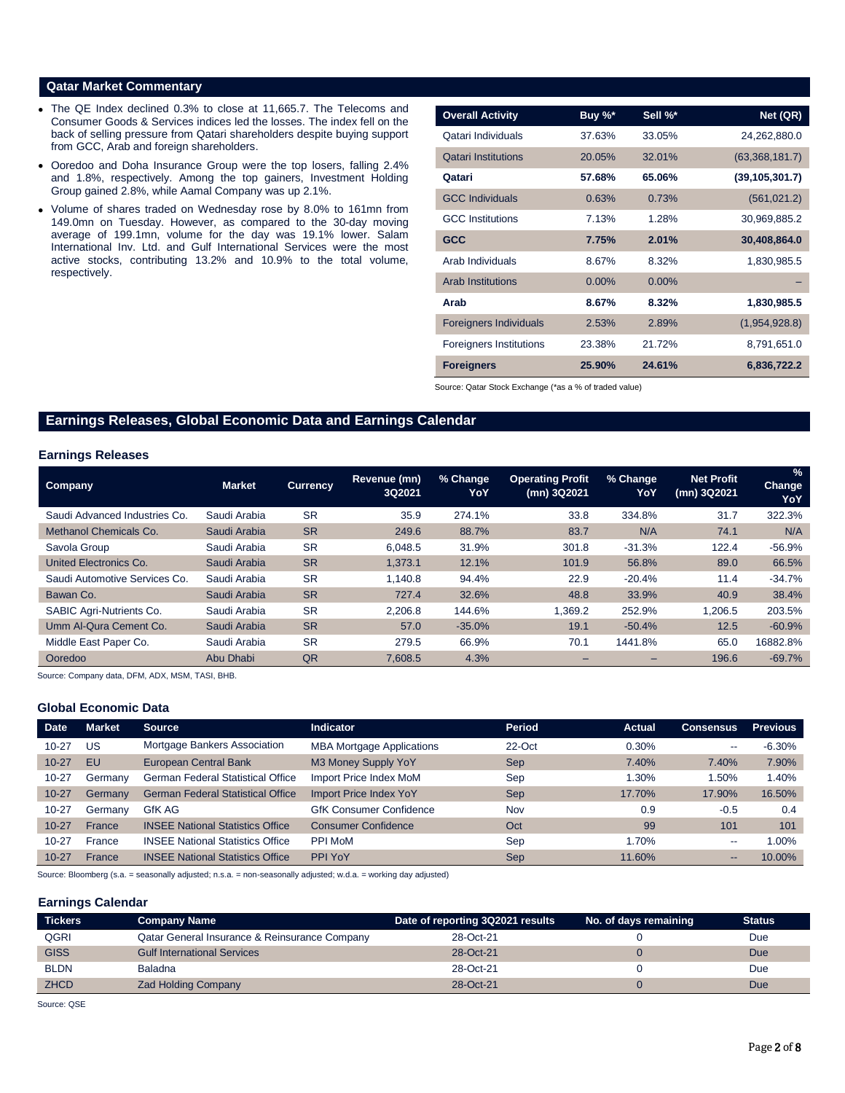#### **Qatar Market Commentary**

- The QE Index declined 0.3% to close at 11,665.7. The Telecoms and Consumer Goods & Services indices led the losses. The index fell on the back of selling pressure from Qatari shareholders despite buying support from GCC, Arab and foreign shareholders.
- Ooredoo and Doha Insurance Group were the top losers, falling 2.4% and 1.8%, respectively. Among the top gainers, Investment Holding Group gained 2.8%, while Aamal Company was up 2.1%.
- Volume of shares traded on Wednesday rose by 8.0% to 161mn from 149.0mn on Tuesday. However, as compared to the 30-day moving average of 199.1mn, volume for the day was 19.1% lower. Salam International Inv. Ltd. and Gulf International Services were the most active stocks, contributing 13.2% and 10.9% to the total volume, respectively.

| <b>Overall Activity</b>        | Buy %*   | Sell %*  | Net (QR)         |
|--------------------------------|----------|----------|------------------|
| Qatari Individuals             | 37.63%   | 33.05%   | 24,262,880.0     |
| <b>Qatari Institutions</b>     | 20.05%   | 32.01%   | (63,368,181.7)   |
| Qatari                         | 57.68%   | 65.06%   | (39, 105, 301.7) |
| <b>GCC Individuals</b>         | 0.63%    | 0.73%    | (561, 021.2)     |
| <b>GCC</b> Institutions        | 7.13%    | 1.28%    | 30,969,885.2     |
| <b>GCC</b>                     | 7.75%    | 2.01%    | 30,408,864.0     |
| Arab Individuals               | 8.67%    | 8.32%    | 1,830,985.5      |
| <b>Arab Institutions</b>       | $0.00\%$ | $0.00\%$ |                  |
| Arab                           | 8.67%    | 8.32%    | 1,830,985.5      |
| <b>Foreigners Individuals</b>  | 2.53%    | 2.89%    | (1,954,928.8)    |
| <b>Foreigners Institutions</b> | 23.38%   | 21.72%   | 8,791,651.0      |
| <b>Foreigners</b>              | 25.90%   | 24.61%   | 6,836,722.2      |

Source: Qatar Stock Exchange (\*as a % of traded value)

# **Earnings Releases, Global Economic Data and Earnings Calendar**

### **Earnings Releases**

| Company                       | <b>Market</b> | <b>Currency</b> | Revenue (mn)<br>3Q2021 | % Change<br>YoY | <b>Operating Profit</b><br>(mn) 3Q2021 | % Change<br>YoY | <b>Net Profit</b><br>(mn) 3Q2021 | $\%$<br><b>Change</b><br>YoY |
|-------------------------------|---------------|-----------------|------------------------|-----------------|----------------------------------------|-----------------|----------------------------------|------------------------------|
| Saudi Advanced Industries Co. | Saudi Arabia  | <b>SR</b>       | 35.9                   | 274.1%          | 33.8                                   | 334.8%          | 31.7                             | 322.3%                       |
| Methanol Chemicals Co.        | Saudi Arabia  | <b>SR</b>       | 249.6                  | 88.7%           | 83.7                                   | N/A             | 74.1                             | N/A                          |
| Savola Group                  | Saudi Arabia  | <b>SR</b>       | 6.048.5                | 31.9%           | 301.8                                  | $-31.3%$        | 122.4                            | $-56.9%$                     |
| United Electronics Co.        | Saudi Arabia  | <b>SR</b>       | 1.373.1                | 12.1%           | 101.9                                  | 56.8%           | 89.0                             | 66.5%                        |
| Saudi Automotive Services Co. | Saudi Arabia  | <b>SR</b>       | 1.140.8                | 94.4%           | 22.9                                   | $-20.4%$        | 11.4                             | $-34.7%$                     |
| Bawan Co.                     | Saudi Arabia  | <b>SR</b>       | 727.4                  | 32.6%           | 48.8                                   | 33.9%           | 40.9                             | 38.4%                        |
| SABIC Agri-Nutrients Co.      | Saudi Arabia  | <b>SR</b>       | 2.206.8                | 144.6%          | 1.369.2                                | 252.9%          | 1.206.5                          | 203.5%                       |
| Umm Al-Qura Cement Co.        | Saudi Arabia  | <b>SR</b>       | 57.0                   | $-35.0%$        | 19.1                                   | $-50.4%$        | 12.5                             | $-60.9%$                     |
| Middle East Paper Co.         | Saudi Arabia  | <b>SR</b>       | 279.5                  | 66.9%           | 70.1                                   | 1441.8%         | 65.0                             | 16882.8%                     |
| Ooredoo                       | Abu Dhabi     | QR              | 7,608.5                | 4.3%            |                                        |                 | 196.6                            | $-69.7%$                     |

Source: Company data, DFM, ADX, MSM, TASI, BHB.

## **Global Economic Data**

| <b>Date</b> | <b>Market</b> | Source                                   | <b>Indicator</b>                 | Period     | Actual | <b>Consensus</b>         | <b>Previous</b> |
|-------------|---------------|------------------------------------------|----------------------------------|------------|--------|--------------------------|-----------------|
| $10 - 27$   | US            | Mortgage Bankers Association             | <b>MBA Mortgage Applications</b> | 22-Oct     | 0.30%  | $- -$                    | $-6.30%$        |
| $10 - 27$   | EU            | <b>European Central Bank</b>             | M3 Money Supply YoY              | Sep        | 7.40%  | 7.40%                    | 7.90%           |
| $10 - 27$   | Germany       | <b>German Federal Statistical Office</b> | Import Price Index MoM           | Sep        | 1.30%  | .50%                     | 1.40%           |
| $10 - 27$   | Germany       | <b>German Federal Statistical Office</b> | Import Price Index YoY           | <b>Sep</b> | 17.70% | 17.90%                   | 16.50%          |
| $10 - 27$   | Germany       | GfK AG                                   | <b>GfK Consumer Confidence</b>   | Nov        | 0.9    | $-0.5$                   | 0.4             |
| $10 - 27$   | France        | <b>INSEE National Statistics Office</b>  | <b>Consumer Confidence</b>       | Oct        | 99     | 101                      | 101             |
| $10 - 27$   | France        | <b>INSEE National Statistics Office</b>  | PPI MoM                          | Sep        | 1.70%  | $\overline{\phantom{m}}$ | 1.00%           |
| $10 - 27$   | France        | <b>INSEE National Statistics Office</b>  | PPI YoY                          | Sep        | 11.60% | $- -$                    | 10.00%          |

Source: Bloomberg (s.a. = seasonally adjusted; n.s.a. = non-seasonally adjusted; w.d.a. = working day adjusted)

#### **Earnings Calendar**

| <b>Tickers</b> | <b>Company Name</b>                           | Date of reporting 3Q2021 results | No. of days remaining | <b>Status</b> |
|----------------|-----------------------------------------------|----------------------------------|-----------------------|---------------|
| QGRI           | Qatar General Insurance & Reinsurance Company | 28-Oct-21                        |                       | Due           |
| <b>GISS</b>    | <b>Gulf International Services</b>            | 28-Oct-21                        |                       | Due           |
| <b>BLDN</b>    | <b>Baladna</b>                                | 28-Oct-21                        |                       | Due           |
| <b>ZHCD</b>    | <b>Zad Holding Company</b>                    | 28-Oct-21                        |                       | <b>Due</b>    |

Source: QSE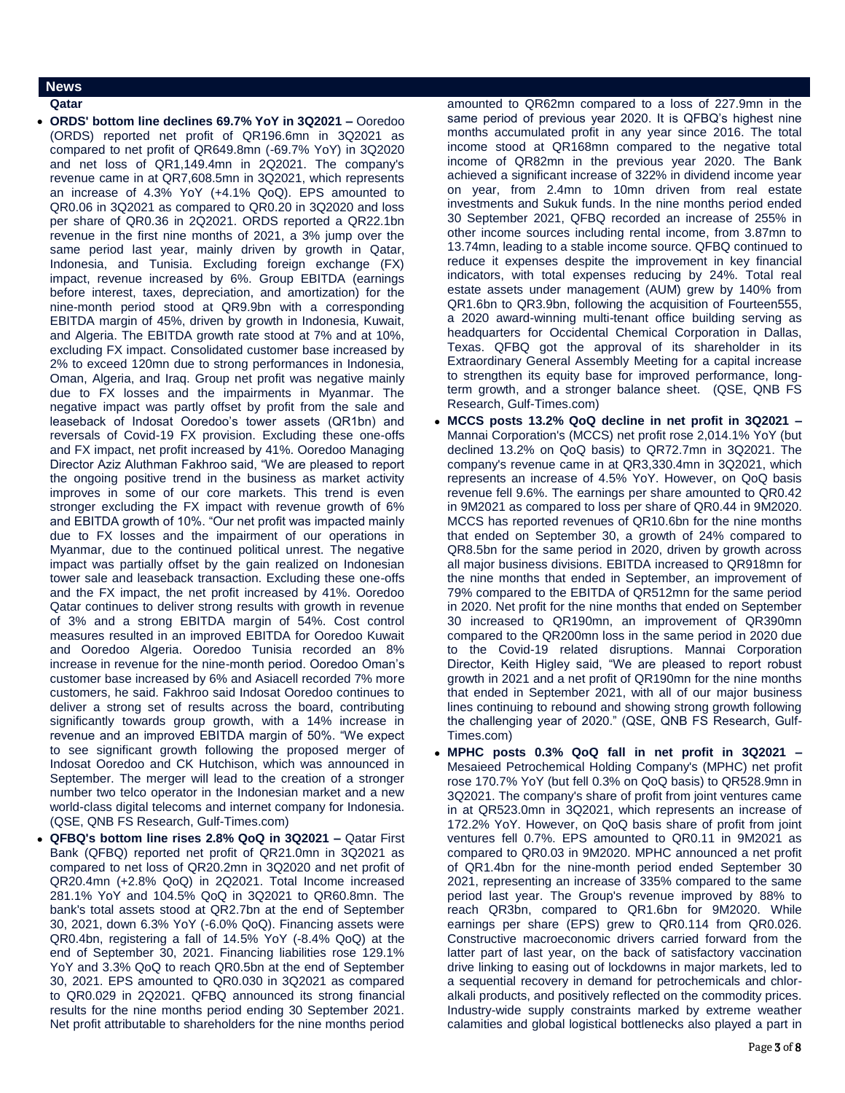### **News**

**Qatar** 

- **ORDS' bottom line declines 69.7% YoY in 3Q2021 –** Ooredoo (ORDS) reported net profit of QR196.6mn in 3Q2021 as compared to net profit of QR649.8mn (-69.7% YoY) in 3Q2020 and net loss of QR1,149.4mn in 2Q2021. The company's revenue came in at QR7,608.5mn in 3Q2021, which represents an increase of 4.3% YoY (+4.1% QoQ). EPS amounted to QR0.06 in 3Q2021 as compared to QR0.20 in 3Q2020 and loss per share of QR0.36 in 2Q2021. ORDS reported a QR22.1bn revenue in the first nine months of 2021, a 3% jump over the same period last year, mainly driven by growth in Qatar, Indonesia, and Tunisia. Excluding foreign exchange (FX) impact, revenue increased by 6%. Group EBITDA (earnings before interest, taxes, depreciation, and amortization) for the nine-month period stood at QR9.9bn with a corresponding EBITDA margin of 45%, driven by growth in Indonesia, Kuwait, and Algeria. The EBITDA growth rate stood at 7% and at 10%, excluding FX impact. Consolidated customer base increased by 2% to exceed 120mn due to strong performances in Indonesia, Oman, Algeria, and Iraq. Group net profit was negative mainly due to FX losses and the impairments in Myanmar. The negative impact was partly offset by profit from the sale and leaseback of Indosat Ooredoo's tower assets (QR1bn) and reversals of Covid-19 FX provision. Excluding these one-offs and FX impact, net profit increased by 41%. Ooredoo Managing Director Aziz Aluthman Fakhroo said, "We are pleased to report the ongoing positive trend in the business as market activity improves in some of our core markets. This trend is even stronger excluding the FX impact with revenue growth of 6% and EBITDA growth of 10%. "Our net profit was impacted mainly due to FX losses and the impairment of our operations in Myanmar, due to the continued political unrest. The negative impact was partially offset by the gain realized on Indonesian tower sale and leaseback transaction. Excluding these one-offs and the FX impact, the net profit increased by 41%. Ooredoo Qatar continues to deliver strong results with growth in revenue of 3% and a strong EBITDA margin of 54%. Cost control measures resulted in an improved EBITDA for Ooredoo Kuwait and Ooredoo Algeria. Ooredoo Tunisia recorded an 8% increase in revenue for the nine-month period. Ooredoo Oman's customer base increased by 6% and Asiacell recorded 7% more customers, he said. Fakhroo said Indosat Ooredoo continues to deliver a strong set of results across the board, contributing significantly towards group growth, with a 14% increase in revenue and an improved EBITDA margin of 50%. "We expect to see significant growth following the proposed merger of Indosat Ooredoo and CK Hutchison, which was announced in September. The merger will lead to the creation of a stronger number two telco operator in the Indonesian market and a new world-class digital telecoms and internet company for Indonesia. (QSE, QNB FS Research, Gulf-Times.com)
- **QFBQ's bottom line rises 2.8% QoQ in 3Q2021 –** Qatar First Bank (QFBQ) reported net profit of QR21.0mn in 3Q2021 as compared to net loss of QR20.2mn in 3Q2020 and net profit of QR20.4mn (+2.8% QoQ) in 2Q2021. Total Income increased 281.1% YoY and 104.5% QoQ in 3Q2021 to QR60.8mn. The bank's total assets stood at QR2.7bn at the end of September 30, 2021, down 6.3% YoY (-6.0% QoQ). Financing assets were QR0.4bn, registering a fall of 14.5% YoY (-8.4% QoQ) at the end of September 30, 2021. Financing liabilities rose 129.1% YoY and 3.3% QoQ to reach QR0.5bn at the end of September 30, 2021. EPS amounted to QR0.030 in 3Q2021 as compared to QR0.029 in 2Q2021. QFBQ announced its strong financial results for the nine months period ending 30 September 2021. Net profit attributable to shareholders for the nine months period

amounted to QR62mn compared to a loss of 227.9mn in the same period of previous year 2020. It is QFBQ's highest nine months accumulated profit in any year since 2016. The total income stood at QR168mn compared to the negative total income of QR82mn in the previous year 2020. The Bank achieved a significant increase of 322% in dividend income year on year, from 2.4mn to 10mn driven from real estate investments and Sukuk funds. In the nine months period ended 30 September 2021, QFBQ recorded an increase of 255% in other income sources including rental income, from 3.87mn to 13.74mn, leading to a stable income source. QFBQ continued to reduce it expenses despite the improvement in key financial indicators, with total expenses reducing by 24%. Total real estate assets under management (AUM) grew by 140% from QR1.6bn to QR3.9bn, following the acquisition of Fourteen555, a 2020 award-winning multi-tenant office building serving as headquarters for Occidental Chemical Corporation in Dallas, Texas. QFBQ got the approval of its shareholder in its Extraordinary General Assembly Meeting for a capital increase to strengthen its equity base for improved performance, longterm growth, and a stronger balance sheet. (QSE, QNB FS Research, Gulf-Times.com)

- **MCCS posts 13.2% QoQ decline in net profit in 3Q2021 –** Mannai Corporation's (MCCS) net profit rose 2,014.1% YoY (but declined 13.2% on QoQ basis) to QR72.7mn in 3Q2021. The company's revenue came in at QR3,330.4mn in 3Q2021, which represents an increase of 4.5% YoY. However, on QoQ basis revenue fell 9.6%. The earnings per share amounted to QR0.42 in 9M2021 as compared to loss per share of QR0.44 in 9M2020. MCCS has reported revenues of QR10.6bn for the nine months that ended on September 30, a growth of 24% compared to QR8.5bn for the same period in 2020, driven by growth across all major business divisions. EBITDA increased to QR918mn for the nine months that ended in September, an improvement of 79% compared to the EBITDA of QR512mn for the same period in 2020. Net profit for the nine months that ended on September 30 increased to QR190mn, an improvement of QR390mn compared to the QR200mn loss in the same period in 2020 due to the Covid-19 related disruptions. Mannai Corporation Director, Keith Higley said, "We are pleased to report robust growth in 2021 and a net profit of QR190mn for the nine months that ended in September 2021, with all of our major business lines continuing to rebound and showing strong growth following the challenging year of 2020." (QSE, QNB FS Research, Gulf-Times.com)
- **MPHC posts 0.3% QoQ fall in net profit in 3Q2021 –** Mesaieed Petrochemical Holding Company's (MPHC) net profit rose 170.7% YoY (but fell 0.3% on QoQ basis) to QR528.9mn in 3Q2021. The company's share of profit from joint ventures came in at QR523.0mn in 3Q2021, which represents an increase of 172.2% YoY. However, on QoQ basis share of profit from joint ventures fell 0.7%. EPS amounted to QR0.11 in 9M2021 as compared to QR0.03 in 9M2020. MPHC announced a net profit of QR1.4bn for the nine-month period ended September 30 2021, representing an increase of 335% compared to the same period last year. The Group's revenue improved by 88% to reach QR3bn, compared to QR1.6bn for 9M2020. While earnings per share (EPS) grew to QR0.114 from QR0.026. Constructive macroeconomic drivers carried forward from the latter part of last year, on the back of satisfactory vaccination drive linking to easing out of lockdowns in major markets, led to a sequential recovery in demand for petrochemicals and chloralkali products, and positively reflected on the commodity prices. Industry-wide supply constraints marked by extreme weather calamities and global logistical bottlenecks also played a part in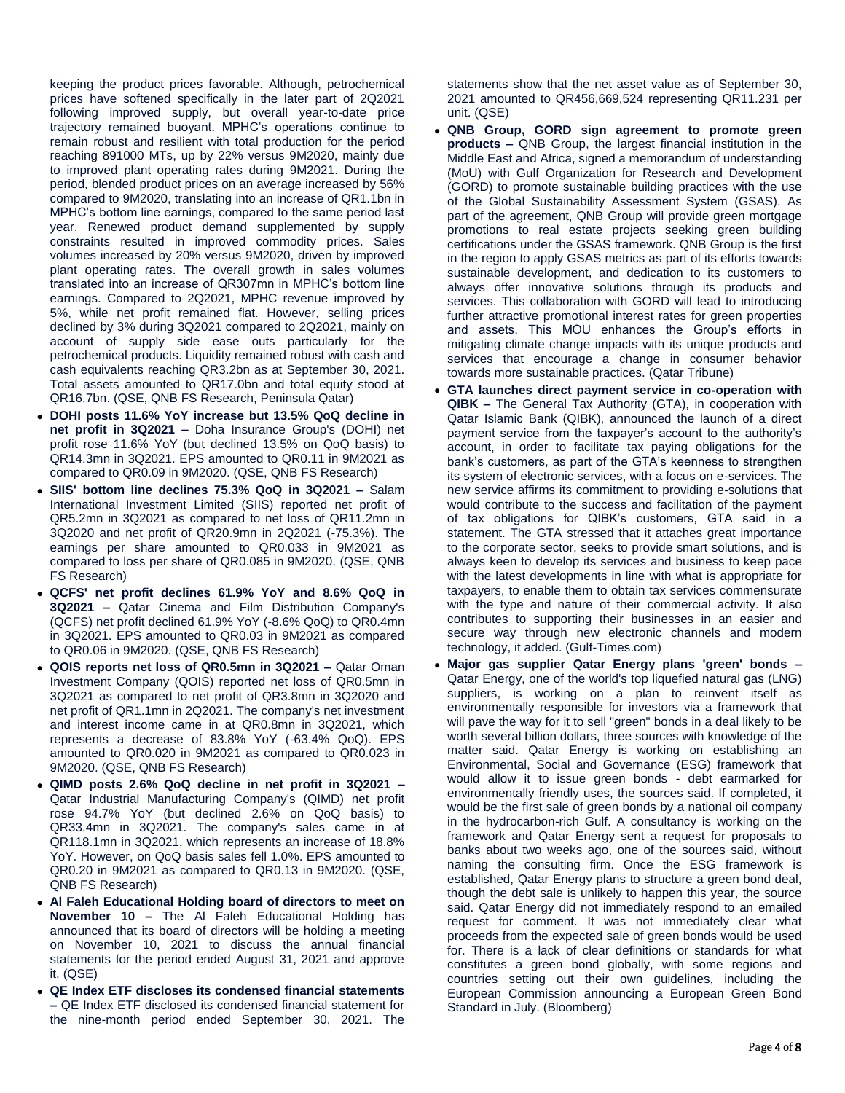keeping the product prices favorable. Although, petrochemical prices have softened specifically in the later part of 2Q2021 following improved supply, but overall year-to-date price trajectory remained buoyant. MPHC's operations continue to remain robust and resilient with total production for the period reaching 891000 MTs, up by 22% versus 9M2020, mainly due to improved plant operating rates during 9M2021. During the period, blended product prices on an average increased by 56% compared to 9M2020, translating into an increase of QR1.1bn in MPHC's bottom line earnings, compared to the same period last year. Renewed product demand supplemented by supply constraints resulted in improved commodity prices. Sales volumes increased by 20% versus 9M2020, driven by improved plant operating rates. The overall growth in sales volumes translated into an increase of QR307mn in MPHC's bottom line earnings. Compared to 2Q2021, MPHC revenue improved by 5%, while net profit remained flat. However, selling prices declined by 3% during 3Q2021 compared to 2Q2021, mainly on account of supply side ease outs particularly for the petrochemical products. Liquidity remained robust with cash and cash equivalents reaching QR3.2bn as at September 30, 2021. Total assets amounted to QR17.0bn and total equity stood at QR16.7bn. (QSE, QNB FS Research, Peninsula Qatar)

- **DOHI posts 11.6% YoY increase but 13.5% QoQ decline in net profit in 3Q2021 –** Doha Insurance Group's (DOHI) net profit rose 11.6% YoY (but declined 13.5% on QoQ basis) to QR14.3mn in 3Q2021. EPS amounted to QR0.11 in 9M2021 as compared to QR0.09 in 9M2020. (QSE, QNB FS Research)
- **SIIS' bottom line declines 75.3% QoQ in 3Q2021 –** Salam International Investment Limited (SIIS) reported net profit of QR5.2mn in 3Q2021 as compared to net loss of QR11.2mn in 3Q2020 and net profit of QR20.9mn in 2Q2021 (-75.3%). The earnings per share amounted to QR0.033 in 9M2021 as compared to loss per share of QR0.085 in 9M2020. (QSE, QNB FS Research)
- **QCFS' net profit declines 61.9% YoY and 8.6% QoQ in 3Q2021 –** Qatar Cinema and Film Distribution Company's (QCFS) net profit declined 61.9% YoY (-8.6% QoQ) to QR0.4mn in 3Q2021. EPS amounted to QR0.03 in 9M2021 as compared to QR0.06 in 9M2020. (QSE, QNB FS Research)
- **QOIS reports net loss of QR0.5mn in 3Q2021 –** Qatar Oman Investment Company (QOIS) reported net loss of QR0.5mn in 3Q2021 as compared to net profit of QR3.8mn in 3Q2020 and net profit of QR1.1mn in 2Q2021. The company's net investment and interest income came in at QR0.8mn in 3Q2021, which represents a decrease of 83.8% YoY (-63.4% QoQ). EPS amounted to QR0.020 in 9M2021 as compared to QR0.023 in 9M2020. (QSE, QNB FS Research)
- **QIMD posts 2.6% QoQ decline in net profit in 3Q2021 –** Qatar Industrial Manufacturing Company's (QIMD) net profit rose 94.7% YoY (but declined 2.6% on QoQ basis) to QR33.4mn in 3Q2021. The company's sales came in at QR118.1mn in 3Q2021, which represents an increase of 18.8% YoY. However, on QoQ basis sales fell 1.0%. EPS amounted to QR0.20 in 9M2021 as compared to QR0.13 in 9M2020. (QSE, QNB FS Research)
- **Al Faleh Educational Holding board of directors to meet on November 10 –** The Al Faleh Educational Holding has announced that its board of directors will be holding a meeting on November 10, 2021 to discuss the annual financial statements for the period ended August 31, 2021 and approve it. (QSE)
- **QE Index ETF discloses its condensed financial statements –** QE Index ETF disclosed its condensed financial statement for the nine-month period ended September 30, 2021. The

statements show that the net asset value as of September 30, 2021 amounted to QR456,669,524 representing QR11.231 per unit. (QSE)

- **QNB Group, GORD sign agreement to promote green products –** QNB Group, the largest financial institution in the Middle East and Africa, signed a memorandum of understanding (MoU) with Gulf Organization for Research and Development (GORD) to promote sustainable building practices with the use of the Global Sustainability Assessment System (GSAS). As part of the agreement, QNB Group will provide green mortgage promotions to real estate projects seeking green building certifications under the GSAS framework. QNB Group is the first in the region to apply GSAS metrics as part of its efforts towards sustainable development, and dedication to its customers to always offer innovative solutions through its products and services. This collaboration with GORD will lead to introducing further attractive promotional interest rates for green properties and assets. This MOU enhances the Group's efforts in mitigating climate change impacts with its unique products and services that encourage a change in consumer behavior towards more sustainable practices. (Qatar Tribune)
- **GTA launches direct payment service in co-operation with QIBK –** The General Tax Authority (GTA), in cooperation with Qatar Islamic Bank (QIBK), announced the launch of a direct payment service from the taxpayer's account to the authority's account, in order to facilitate tax paying obligations for the bank's customers, as part of the GTA's keenness to strengthen its system of electronic services, with a focus on e-services. The new service affirms its commitment to providing e-solutions that would contribute to the success and facilitation of the payment of tax obligations for QIBK's customers, GTA said in a statement. The GTA stressed that it attaches great importance to the corporate sector, seeks to provide smart solutions, and is always keen to develop its services and business to keep pace with the latest developments in line with what is appropriate for taxpayers, to enable them to obtain tax services commensurate with the type and nature of their commercial activity. It also contributes to supporting their businesses in an easier and secure way through new electronic channels and modern technology, it added. (Gulf-Times.com)
- **Major gas supplier Qatar Energy plans 'green' bonds –** Qatar Energy, one of the world's top liquefied natural gas (LNG) suppliers, is working on a plan to reinvent itself as environmentally responsible for investors via a framework that will pave the way for it to sell "green" bonds in a deal likely to be worth several billion dollars, three sources with knowledge of the matter said. Qatar Energy is working on establishing an Environmental, Social and Governance (ESG) framework that would allow it to issue green bonds - debt earmarked for environmentally friendly uses, the sources said. If completed, it would be the first sale of green bonds by a national oil company in the hydrocarbon-rich Gulf. A consultancy is working on the framework and Qatar Energy sent a request for proposals to banks about two weeks ago, one of the sources said, without naming the consulting firm. Once the ESG framework is established, Qatar Energy plans to structure a green bond deal, though the debt sale is unlikely to happen this year, the source said. Qatar Energy did not immediately respond to an emailed request for comment. It was not immediately clear what proceeds from the expected sale of green bonds would be used for. There is a lack of clear definitions or standards for what constitutes a green bond globally, with some regions and countries setting out their own guidelines, including the European Commission announcing a European Green Bond Standard in July. (Bloomberg)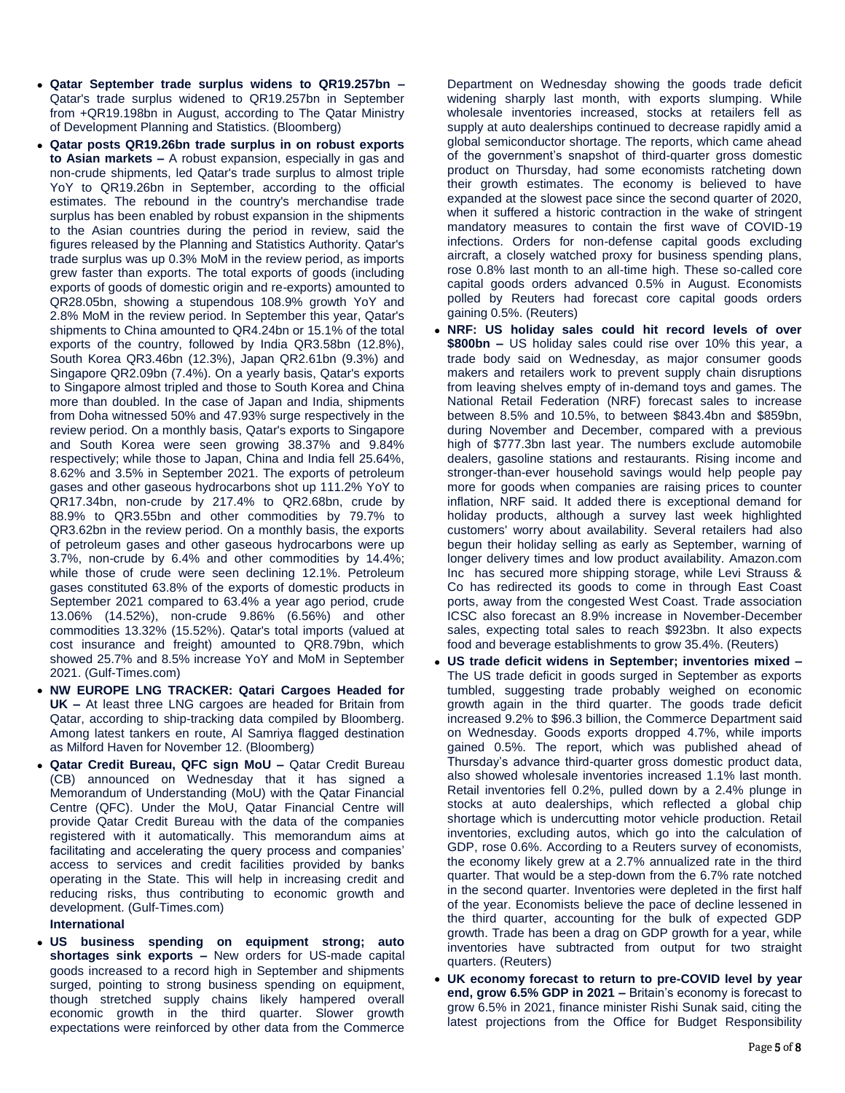- **Qatar September trade surplus widens to QR19.257bn –** Qatar's trade surplus widened to QR19.257bn in September from +QR19.198bn in August, according to The Qatar Ministry of Development Planning and Statistics. (Bloomberg)
- **Qatar posts QR19.26bn trade surplus in on robust exports to Asian markets –** A robust expansion, especially in gas and non-crude shipments, led Qatar's trade surplus to almost triple YoY to QR19.26bn in September, according to the official estimates. The rebound in the country's merchandise trade surplus has been enabled by robust expansion in the shipments to the Asian countries during the period in review, said the figures released by the Planning and Statistics Authority. Qatar's trade surplus was up 0.3% MoM in the review period, as imports grew faster than exports. The total exports of goods (including exports of goods of domestic origin and re-exports) amounted to QR28.05bn, showing a stupendous 108.9% growth YoY and 2.8% MoM in the review period. In September this year, Qatar's shipments to China amounted to QR4.24bn or 15.1% of the total exports of the country, followed by India QR3.58bn (12.8%), South Korea QR3.46bn (12.3%), Japan QR2.61bn (9.3%) and Singapore QR2.09bn (7.4%). On a yearly basis, Qatar's exports to Singapore almost tripled and those to South Korea and China more than doubled. In the case of Japan and India, shipments from Doha witnessed 50% and 47.93% surge respectively in the review period. On a monthly basis, Qatar's exports to Singapore and South Korea were seen growing 38.37% and 9.84% respectively; while those to Japan, China and India fell 25.64%, 8.62% and 3.5% in September 2021. The exports of petroleum gases and other gaseous hydrocarbons shot up 111.2% YoY to QR17.34bn, non-crude by 217.4% to QR2.68bn, crude by 88.9% to QR3.55bn and other commodities by 79.7% to QR3.62bn in the review period. On a monthly basis, the exports of petroleum gases and other gaseous hydrocarbons were up 3.7%, non-crude by 6.4% and other commodities by 14.4%; while those of crude were seen declining 12.1%. Petroleum gases constituted 63.8% of the exports of domestic products in September 2021 compared to 63.4% a year ago period, crude 13.06% (14.52%), non-crude 9.86% (6.56%) and other commodities 13.32% (15.52%). Qatar's total imports (valued at cost insurance and freight) amounted to QR8.79bn, which showed 25.7% and 8.5% increase YoY and MoM in September 2021. (Gulf-Times.com)
- **NW EUROPE LNG TRACKER: Qatari Cargoes Headed for UK –** At least three LNG cargoes are headed for Britain from Qatar, according to ship-tracking data compiled by Bloomberg. Among latest tankers en route, Al Samriya flagged destination as Milford Haven for November 12. (Bloomberg)
- **Qatar Credit Bureau, QFC sign MoU –** Qatar Credit Bureau (CB) announced on Wednesday that it has signed a Memorandum of Understanding (MoU) with the Qatar Financial Centre (QFC). Under the MoU, Qatar Financial Centre will provide Qatar Credit Bureau with the data of the companies registered with it automatically. This memorandum aims at facilitating and accelerating the query process and companies' access to services and credit facilities provided by banks operating in the State. This will help in increasing credit and reducing risks, thus contributing to economic growth and development. (Gulf-Times.com)

#### **International**

 **US business spending on equipment strong; auto shortages sink exports –** New orders for US-made capital goods increased to a record high in September and shipments surged, pointing to strong business spending on equipment, though stretched supply chains likely hampered overall economic growth in the third quarter. Slower growth expectations were reinforced by other data from the Commerce

Department on Wednesday showing the goods trade deficit widening sharply last month, with exports slumping. While wholesale inventories increased, stocks at retailers fell as supply at auto dealerships continued to decrease rapidly amid a global semiconductor shortage. The reports, which came ahead of the government's snapshot of third-quarter gross domestic product on Thursday, had some economists ratcheting down their growth estimates. The economy is believed to have expanded at the slowest pace since the second quarter of 2020, when it suffered a historic contraction in the wake of stringent mandatory measures to contain the first wave of COVID-19 infections. Orders for non-defense capital goods excluding aircraft, a closely watched proxy for business spending plans, rose 0.8% last month to an all-time high. These so-called core capital goods orders advanced 0.5% in August. Economists polled by Reuters had forecast core capital goods orders gaining 0.5%. (Reuters)

- **NRF: US holiday sales could hit record levels of over \$800bn –** US holiday sales could rise over 10% this year, a trade body said on Wednesday, as major consumer goods makers and retailers work to prevent supply chain disruptions from leaving shelves empty of in-demand toys and games. The National Retail Federation (NRF) forecast sales to increase between 8.5% and 10.5%, to between \$843.4bn and \$859bn, during November and December, compared with a previous high of \$777.3bn last year. The numbers exclude automobile dealers, gasoline stations and restaurants. Rising income and stronger-than-ever household savings would help people pay more for goods when companies are raising prices to counter inflation, NRF said. It added there is exceptional demand for holiday products, although a survey last week highlighted customers' worry about availability. Several retailers had also begun their holiday selling as early as September, warning of longer delivery times and low product availability. Amazon.com Inc has secured more shipping storage, while Levi Strauss & Co has redirected its goods to come in through East Coast ports, away from the congested West Coast. Trade association ICSC also forecast an 8.9% increase in November-December sales, expecting total sales to reach \$923bn. It also expects food and beverage establishments to grow 35.4%. (Reuters)
- **US trade deficit widens in September; inventories mixed –** The US trade deficit in goods surged in September as exports tumbled, suggesting trade probably weighed on economic growth again in the third quarter. The goods trade deficit increased 9.2% to \$96.3 billion, the Commerce Department said on Wednesday. Goods exports dropped 4.7%, while imports gained 0.5%. The report, which was published ahead of Thursday's advance third-quarter gross domestic product data, also showed wholesale inventories increased 1.1% last month. Retail inventories fell 0.2%, pulled down by a 2.4% plunge in stocks at auto dealerships, which reflected a global chip shortage which is undercutting motor vehicle production. Retail inventories, excluding autos, which go into the calculation of GDP, rose 0.6%. According to a Reuters survey of economists, the economy likely grew at a 2.7% annualized rate in the third quarter. That would be a step-down from the 6.7% rate notched in the second quarter. Inventories were depleted in the first half of the year. Economists believe the pace of decline lessened in the third quarter, accounting for the bulk of expected GDP growth. Trade has been a drag on GDP growth for a year, while inventories have subtracted from output for two straight quarters. (Reuters)
- **UK economy forecast to return to pre-COVID level by year end, grow 6.5% GDP in 2021 –** Britain's economy is forecast to grow 6.5% in 2021, finance minister Rishi Sunak said, citing the latest projections from the Office for Budget Responsibility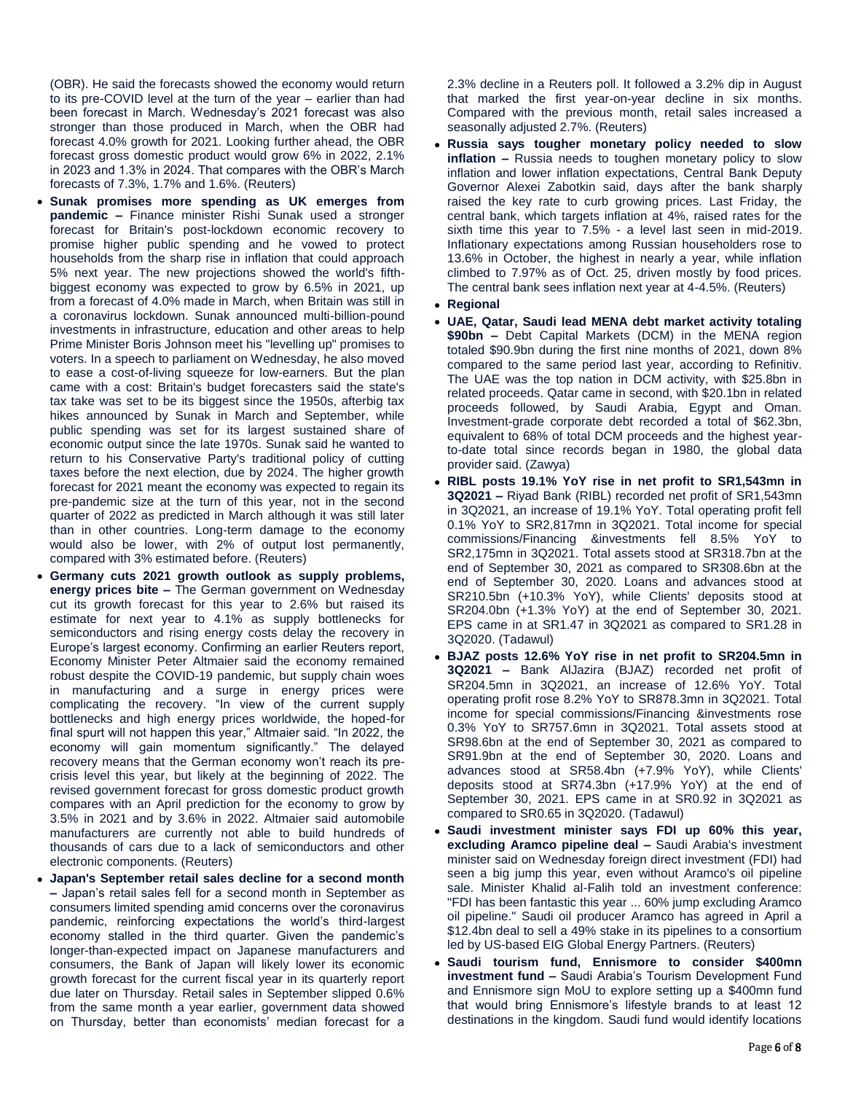(OBR). He said the forecasts showed the economy would return to its pre-COVID level at the turn of the year – earlier than had been forecast in March. Wednesday's 2021 forecast was also stronger than those produced in March, when the OBR had forecast 4.0% growth for 2021. Looking further ahead, the OBR forecast gross domestic product would grow 6% in 2022, 2.1% in 2023 and 1.3% in 2024. That compares with the OBR's March forecasts of 7.3%, 1.7% and 1.6%. (Reuters)

- **Sunak promises more spending as UK emerges from pandemic –** Finance minister Rishi Sunak used a stronger forecast for Britain's post-lockdown economic recovery to promise higher public spending and he vowed to protect households from the sharp rise in inflation that could approach 5% next year. The new projections showed the world's fifthbiggest economy was expected to grow by 6.5% in 2021, up from a forecast of 4.0% made in March, when Britain was still in a coronavirus lockdown. Sunak announced multi-billion-pound investments in infrastructure, education and other areas to help Prime Minister Boris Johnson meet his "levelling up" promises to voters. In a speech to parliament on Wednesday, he also moved to ease a cost-of-living squeeze for low-earners. But the plan came with a cost: Britain's budget forecasters said the state's tax take was set to be its biggest since the 1950s, afterbig tax hikes announced by Sunak in March and September, while public spending was set for its largest sustained share of economic output since the late 1970s. Sunak said he wanted to return to his Conservative Party's traditional policy of cutting taxes before the next election, due by 2024. The higher growth forecast for 2021 meant the economy was expected to regain its pre-pandemic size at the turn of this year, not in the second quarter of 2022 as predicted in March although it was still later than in other countries. Long-term damage to the economy would also be lower, with 2% of output lost permanently, compared with 3% estimated before. (Reuters)
- **Germany cuts 2021 growth outlook as supply problems, energy prices bite –** The German government on Wednesday cut its growth forecast for this year to 2.6% but raised its estimate for next year to 4.1% as supply bottlenecks for semiconductors and rising energy costs delay the recovery in Europe's largest economy. Confirming an earlier Reuters report, Economy Minister Peter Altmaier said the economy remained robust despite the COVID-19 pandemic, but supply chain woes in manufacturing and a surge in energy prices were complicating the recovery. "In view of the current supply bottlenecks and high energy prices worldwide, the hoped-for final spurt will not happen this year," Altmaier said. "In 2022, the economy will gain momentum significantly." The delayed recovery means that the German economy won't reach its precrisis level this year, but likely at the beginning of 2022. The revised government forecast for gross domestic product growth compares with an April prediction for the economy to grow by 3.5% in 2021 and by 3.6% in 2022. Altmaier said automobile manufacturers are currently not able to build hundreds of thousands of cars due to a lack of semiconductors and other electronic components. (Reuters)
- **Japan's September retail sales decline for a second month –** Japan's retail sales fell for a second month in September as consumers limited spending amid concerns over the coronavirus pandemic, reinforcing expectations the world's third-largest economy stalled in the third quarter. Given the pandemic's longer-than-expected impact on Japanese manufacturers and consumers, the Bank of Japan will likely lower its economic growth forecast for the current fiscal year in its quarterly report due later on Thursday. Retail sales in September slipped 0.6% from the same month a year earlier, government data showed on Thursday, better than economists' median forecast for a

2.3% decline in a Reuters poll. It followed a 3.2% dip in August that marked the first year-on-year decline in six months. Compared with the previous month, retail sales increased a seasonally adjusted 2.7%. (Reuters)

- **Russia says tougher monetary policy needed to slow inflation –** Russia needs to toughen monetary policy to slow inflation and lower inflation expectations, Central Bank Deputy Governor Alexei Zabotkin said, days after the bank sharply raised the key rate to curb growing prices. Last Friday, the central bank, which targets inflation at 4%, raised rates for the sixth time this year to 7.5% - a level last seen in mid-2019. Inflationary expectations among Russian householders rose to 13.6% in October, the highest in nearly a year, while inflation climbed to 7.97% as of Oct. 25, driven mostly by food prices. The central bank sees inflation next year at 4-4.5%. (Reuters)
- **Regional**
- **UAE, Qatar, Saudi lead MENA debt market activity totaling \$90bn –** Debt Capital Markets (DCM) in the MENA region totaled \$90.9bn during the first nine months of 2021, down 8% compared to the same period last year, according to Refinitiv. The UAE was the top nation in DCM activity, with \$25.8bn in related proceeds. Qatar came in second, with \$20.1bn in related proceeds followed, by Saudi Arabia, Egypt and Oman. Investment-grade corporate debt recorded a total of \$62.3bn, equivalent to 68% of total DCM proceeds and the highest yearto-date total since records began in 1980, the global data provider said. (Zawya)
- **RIBL posts 19.1% YoY rise in net profit to SR1,543mn in 3Q2021 –** Riyad Bank (RIBL) recorded net profit of SR1,543mn in 3Q2021, an increase of 19.1% YoY. Total operating profit fell 0.1% YoY to SR2,817mn in 3Q2021. Total income for special commissions/Financing &investments fell 8.5% YoY to SR2,175mn in 3Q2021. Total assets stood at SR318.7bn at the end of September 30, 2021 as compared to SR308.6bn at the end of September 30, 2020. Loans and advances stood at SR210.5bn (+10.3% YoY), while Clients' deposits stood at SR204.0bn (+1.3% YoY) at the end of September 30, 2021. EPS came in at SR1.47 in 3Q2021 as compared to SR1.28 in 3Q2020. (Tadawul)
- **BJAZ posts 12.6% YoY rise in net profit to SR204.5mn in 3Q2021 –** Bank AlJazira (BJAZ) recorded net profit of SR204.5mn in 3Q2021, an increase of 12.6% YoY. Total operating profit rose 8.2% YoY to SR878.3mn in 3Q2021. Total income for special commissions/Financing &investments rose 0.3% YoY to SR757.6mn in 3Q2021. Total assets stood at SR98.6bn at the end of September 30, 2021 as compared to SR91.9bn at the end of September 30, 2020. Loans and advances stood at SR58.4bn (+7.9% YoY), while Clients' deposits stood at SR74.3bn (+17.9% YoY) at the end of September 30, 2021. EPS came in at SR0.92 in 3Q2021 as compared to SR0.65 in 3Q2020. (Tadawul)
- **Saudi investment minister says FDI up 60% this year, excluding Aramco pipeline deal –** Saudi Arabia's investment minister said on Wednesday foreign direct investment (FDI) had seen a big jump this year, even without Aramco's oil pipeline sale. Minister Khalid al-Falih told an investment conference: "FDI has been fantastic this year ... 60% jump excluding Aramco oil pipeline." Saudi oil producer Aramco has agreed in April a \$12.4bn deal to sell a 49% stake in its pipelines to a consortium led by US-based EIG Global Energy Partners. (Reuters)
- **Saudi tourism fund, Ennismore to consider \$400mn investment fund –** Saudi Arabia's Tourism Development Fund and Ennismore sign MoU to explore setting up a \$400mn fund that would bring Ennismore's lifestyle brands to at least 12 destinations in the kingdom. Saudi fund would identify locations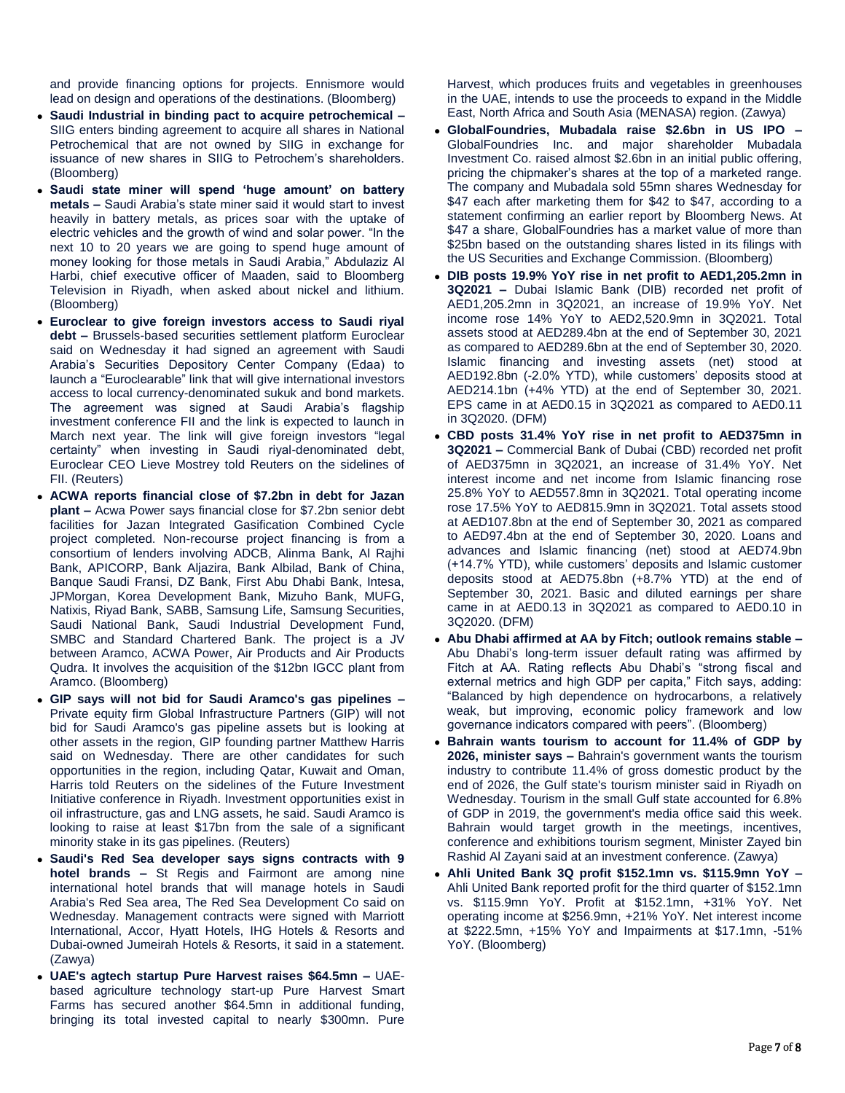and provide financing options for projects. Ennismore would lead on design and operations of the destinations. (Bloomberg)

- **Saudi Industrial in binding pact to acquire petrochemical –** SIIG enters binding agreement to acquire all shares in National Petrochemical that are not owned by SIIG in exchange for issuance of new shares in SIIG to Petrochem's shareholders. (Bloomberg)
- **Saudi state miner will spend 'huge amount' on battery metals –** Saudi Arabia's state miner said it would start to invest heavily in battery metals, as prices soar with the uptake of electric vehicles and the growth of wind and solar power. "In the next 10 to 20 years we are going to spend huge amount of money looking for those metals in Saudi Arabia," Abdulaziz Al Harbi, chief executive officer of Maaden, said to Bloomberg Television in Riyadh, when asked about nickel and lithium. (Bloomberg)
- **Euroclear to give foreign investors access to Saudi riyal debt –** Brussels-based securities settlement platform Euroclear said on Wednesday it had signed an agreement with Saudi Arabia's Securities Depository Center Company (Edaa) to launch a "Euroclearable" link that will give international investors access to local currency-denominated sukuk and bond markets. The agreement was signed at Saudi Arabia's flagship investment conference FII and the link is expected to launch in March next year. The link will give foreign investors "legal certainty" when investing in Saudi riyal-denominated debt, Euroclear CEO Lieve Mostrey told Reuters on the sidelines of FII. (Reuters)
- **ACWA reports financial close of \$7.2bn in debt for Jazan plant –** Acwa Power says financial close for \$7.2bn senior debt facilities for Jazan Integrated Gasification Combined Cycle project completed. Non-recourse project financing is from a consortium of lenders involving ADCB, Alinma Bank, Al Rajhi Bank, APICORP, Bank Aljazira, Bank Albilad, Bank of China, Banque Saudi Fransi, DZ Bank, First Abu Dhabi Bank, Intesa, JPMorgan, Korea Development Bank, Mizuho Bank, MUFG, Natixis, Riyad Bank, SABB, Samsung Life, Samsung Securities, Saudi National Bank, Saudi Industrial Development Fund, SMBC and Standard Chartered Bank. The project is a JV between Aramco, ACWA Power, Air Products and Air Products Qudra. It involves the acquisition of the \$12bn IGCC plant from Aramco. (Bloomberg)
- **GIP says will not bid for Saudi Aramco's gas pipelines –** Private equity firm Global Infrastructure Partners (GIP) will not bid for Saudi Aramco's gas pipeline assets but is looking at other assets in the region, GIP founding partner Matthew Harris said on Wednesday. There are other candidates for such opportunities in the region, including Qatar, Kuwait and Oman, Harris told Reuters on the sidelines of the Future Investment Initiative conference in Riyadh. Investment opportunities exist in oil infrastructure, gas and LNG assets, he said. Saudi Aramco is looking to raise at least \$17bn from the sale of a significant minority stake in its gas pipelines. (Reuters)
- **Saudi's Red Sea developer says signs contracts with 9 hotel brands –** St Regis and Fairmont are among nine international hotel brands that will manage hotels in Saudi Arabia's Red Sea area, The Red Sea Development Co said on Wednesday. Management contracts were signed with Marriott International, Accor, Hyatt Hotels, IHG Hotels & Resorts and Dubai-owned Jumeirah Hotels & Resorts, it said in a statement. (Zawya)
- **UAE's agtech startup Pure Harvest raises \$64.5mn –** UAEbased agriculture technology start-up Pure Harvest Smart Farms has secured another \$64.5mn in additional funding, bringing its total invested capital to nearly \$300mn. Pure

Harvest, which produces fruits and vegetables in greenhouses in the UAE, intends to use the proceeds to expand in the Middle East, North Africa and South Asia (MENASA) region. (Zawya)

- **GlobalFoundries, Mubadala raise \$2.6bn in US IPO –** GlobalFoundries Inc. and major shareholder Mubadala Investment Co. raised almost \$2.6bn in an initial public offering, pricing the chipmaker's shares at the top of a marketed range. The company and Mubadala sold 55mn shares Wednesday for \$47 each after marketing them for \$42 to \$47, according to a statement confirming an earlier report by Bloomberg News. At \$47 a share, GlobalFoundries has a market value of more than \$25bn based on the outstanding shares listed in its filings with the US Securities and Exchange Commission. (Bloomberg)
- **DIB posts 19.9% YoY rise in net profit to AED1,205.2mn in 3Q2021 –** Dubai Islamic Bank (DIB) recorded net profit of AED1,205.2mn in 3Q2021, an increase of 19.9% YoY. Net income rose 14% YoY to AED2,520.9mn in 3Q2021. Total assets stood at AED289.4bn at the end of September 30, 2021 as compared to AED289.6bn at the end of September 30, 2020. Islamic financing and investing assets (net) stood at AED192.8bn (-2.0% YTD), while customers' deposits stood at AED214.1bn (+4% YTD) at the end of September 30, 2021. EPS came in at AED0.15 in 3Q2021 as compared to AED0.11 in 3Q2020. (DFM)
- **CBD posts 31.4% YoY rise in net profit to AED375mn in 3Q2021 –** Commercial Bank of Dubai (CBD) recorded net profit of AED375mn in 3Q2021, an increase of 31.4% YoY. Net interest income and net income from Islamic financing rose 25.8% YoY to AED557.8mn in 3Q2021. Total operating income rose 17.5% YoY to AED815.9mn in 3Q2021. Total assets stood at AED107.8bn at the end of September 30, 2021 as compared to AED97.4bn at the end of September 30, 2020. Loans and advances and Islamic financing (net) stood at AED74.9bn (+14.7% YTD), while customers' deposits and Islamic customer deposits stood at AED75.8bn (+8.7% YTD) at the end of September 30, 2021. Basic and diluted earnings per share came in at AED0.13 in 3Q2021 as compared to AED0.10 in 3Q2020. (DFM)
- **Abu Dhabi affirmed at AA by Fitch; outlook remains stable –** Abu Dhabi's long-term issuer default rating was affirmed by Fitch at AA. Rating reflects Abu Dhabi's "strong fiscal and external metrics and high GDP per capita," Fitch says, adding: "Balanced by high dependence on hydrocarbons, a relatively weak, but improving, economic policy framework and low governance indicators compared with peers". (Bloomberg)
- **Bahrain wants tourism to account for 11.4% of GDP by 2026, minister says –** Bahrain's government wants the tourism industry to contribute 11.4% of gross domestic product by the end of 2026, the Gulf state's tourism minister said in Riyadh on Wednesday. Tourism in the small Gulf state accounted for 6.8% of GDP in 2019, the government's media office said this week. Bahrain would target growth in the meetings, incentives, conference and exhibitions tourism segment, Minister Zayed bin Rashid Al Zayani said at an investment conference. (Zawya)
- **Ahli United Bank 3Q profit \$152.1mn vs. \$115.9mn YoY –** Ahli United Bank reported profit for the third quarter of \$152.1mn vs. \$115.9mn YoY. Profit at \$152.1mn, +31% YoY. Net operating income at \$256.9mn, +21% YoY. Net interest income at \$222.5mn, +15% YoY and Impairments at \$17.1mn, -51% YoY. (Bloomberg)